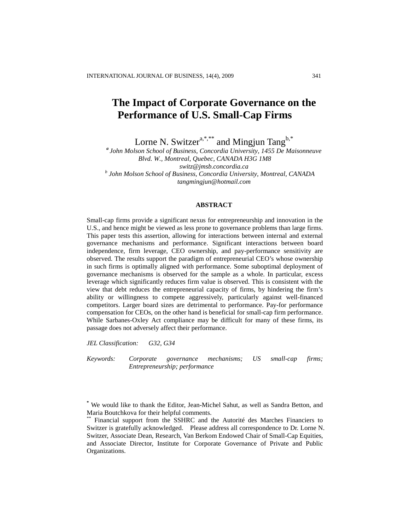# **The Impact of Corporate Governance on the Performance of U.S. Small-Cap Firms**

Lorne N. Switzer<sup>a,\*,\*\*</sup> and Mingjun Tang<sup>b,\*</sup>

*a John Molson School of Business, Concordia University, 1455 De Maisonneuve Blvd. W., Montreal, Quebec, CANADA H3G 1M8 [switz@jmsb.concordia.ca](mailto:switz@jmsb.concordia.ca) b John Molson School of Business, Concordia University, Montreal, CANADA tangmingjun@hotmail.com*

#### **ABSTRACT**

Small-cap firms provide a significant nexus for entrepreneurship and innovation in the U.S., and hence might be viewed as less prone to governance problems than large firms. This paper tests this assertion, allowing for interactions between internal and external governance mechanisms and performance. Significant interactions between board independence, firm leverage, CEO ownership, and pay-performance sensitivity are observed. The results support the paradigm of entrepreneurial CEO's whose ownership in such firms is optimally aligned with performance. Some suboptimal deployment of governance mechanisms is observed for the sample as a whole. In particular, excess leverage which significantly reduces firm value is observed. This is consistent with the view that debt reduces the entrepreneurial capacity of firms, by hindering the firm's ability or willingness to compete aggressively, particularly against well-financed competitors. Larger board sizes are detrimental to performance. Pay-for performance compensation for CEOs, on the other hand is beneficial for small-cap firm performance. While Sarbanes-Oxley Act compliance may be difficult for many of these firms, its passage does not adversely affect their performance.

*JEL Classification: G32, G34*

*Keywords: Corporate governance mechanisms; US small-cap firms; Entrepreneurship; performance*

**<sup>\*</sup>** We would like to thank the Editor, Jean-Michel Sahut, as well as Sandra Betton, and Maria Boutchkova for their helpful comments.

Financial support from the SSHRC and the Autorité des Marches Financiers to Switzer is gratefully acknowledged. Please address all correspondence to Dr. Lorne N. Switzer, Associate Dean, Research, Van Berkom Endowed Chair of Small-Cap Equities, and Associate Director, Institute for Corporate Governance of Private and Public Organizations.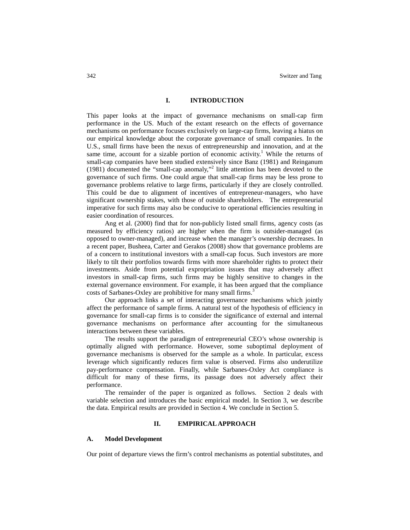#### **I. INTRODUCTION**

This paper looks at the impact of governance mechanisms on small-cap firm performance in the US. Much of the extant research on the effects of governance mechanisms on performance focuses exclusively on large-cap firms, leaving a hiatus on our empirical knowledge about the corporate governance of small companies. In the U.S., small firms have been the nexus of entrepreneurship and innovation, and at the same time, account for a sizable portion of economic activity.<sup>1</sup> While the returns of small-cap companies have been studied extensively since Banz (1981) and Reinganum (1981) documented the "small-cap anomaly," 2 little attention has been devoted to the governance of such firms. One could argue that small-cap firms may be less prone to governance problems relative to large firms, particularly if they are closely controlled. This could be due to alignment of incentives of entrepreneur-managers, who have significant ownership stakes, with those of outside shareholders. The entrepreneurial imperative for such firms may also be conducive to operational efficiencies resulting in easier coordination of resources.

Ang et al. (2000) find that for non-publicly listed small firms, agency costs (as measured by efficiency ratios) are higher when the firm is outsider-managed (as opposed to owner-managed), and increase when the manager's ownership decreases. In a recent paper, Busheea, Carter and Gerakos (2008) show that governance problems are of a concern to institutional investors with a small-cap focus. Such investors are more likely to tilt their portfolios towards firms with more shareholder rights to protect their investments. Aside from potential expropriation issues that may adversely affect investors in small-cap firms, such firms may be highly sensitive to changes in the external governance environment. For example, it has been argued that the compliance costs of Sarbanes-Oxley are prohibitive for many small firms.<sup>3</sup>

Our approach links a set of interacting governance mechanisms which jointly affect the performance of sample firms. A natural test of the hypothesis of efficiency in governance for small-cap firms is to consider the significance of external and internal governance mechanisms on performance after accounting for the simultaneous interactions between these variables.

The results support the paradigm of entrepreneurial CEO's whose ownership is optimally aligned with performance. However, some suboptimal deployment of governance mechanisms is observed for the sample as a whole. In particular, excess leverage which significantly reduces firm value is observed. Firms also underutilize pay-performance compensation. Finally, while Sarbanes-Oxley Act compliance is difficult for many of these firms, its passage does not adversely affect their performance.

The remainder of the paper is organized as follows. Section 2 deals with variable selection and introduces the basic empirical model. In Section 3, we describe the data. Empirical results are provided in Section 4. We conclude in Section 5.

# **II. EMPIRICAL APPROACH**

#### **A. Model Development**

Our point of departure views the firm's control mechanisms as potential substitutes, and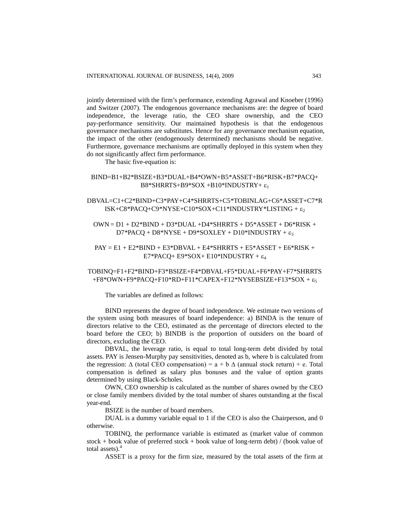jointly determined with the firm's performance, extending Agrawal and Knoeber (1996) and Switzer (2007). The endogenous governance mechanisms are: the degree of board independence, the leverage ratio, the CEO share ownership, and the CEO pay-performance sensitivity. Our maintained hypothesis is that the endogenous governance mechanisms are substitutes. Hence for any governance mechanism equation, the impact of the other (endogenously determined) mechanisms should be negative. Furthermore, governance mechanisms are optimally deployed in this system when they do not significantly affect firm performance.

The basic five-equation is:

# BIND=B1+B2\*BSIZE+B3\*DUAL+B4\*OWN+B5\*ASSET+B6\*RISK+B7\*PACQ+ B8\*SHRRTS+B9\*SOX +B10\*INDUSTRY+ $\varepsilon_1$

# DBVAL=C1+C2\*BIND+C3\*PAY+C4\*SHRRTS+C5\*TOBINLAG+C6\*ASSET+C7\*R ISK+C8\*PACQ+C9\*NYSE+C10\*SOX+C11\*INDUSTRY\*LISTING +  $\varepsilon_2$

 $OWN = D1 + D2*BIND + D3*DUAL +D4*SHRRTS + D5*ASSET + D6*RISK +$  $D7*PACQ + D8*NYSE + D9*SOXLEY + D10*INDUSTRY +  $\varepsilon_3$$ 

# $PAY = E1 + E2*BIND + E3*BBVAL + E4*SHRRTS + E5*ASSET + E6*RISK +$ E7\*PACQ+ E9\*SOX+ E10\*INDUSTRY +  $\varepsilon_4$

# TOBINQ=F1+F2\*BIND+F3\*BSIZE+F4\*DBVAL+F5\*DUAL+F6\*PAY+F7\*SHRRTS +F8\*OWN+F9\*PACQ+F10\*RD+F11\*CAPEX+F12\*NYSEBSIZE+F13\*SOX +  $\varepsilon_5$

The variables are defined as follows:

BIND represents the degree of board independence. We estimate two versions of the system using both measures of board independence: a) BINDA is the tenure of directors relative to the CEO, estimated as the percentage of directors elected to the board before the CEO; b) BINDB is the proportion of outsiders on the board of directors, excluding the CEO.

DBVAL, the leverage ratio, is equal to total long-term debt divided by total assets. PAY is Jensen-Murphy pay sensitivities, denoted as b, where b is calculated from the regression:  $\Delta$  (total CEO compensation) = a + b  $\Delta$  (annual stock return) + e. Total compensation is defined as salary plus bonuses and the value of option grants determined by using Black-Scholes.

OWN, CEO ownership is calculated as the number of shares owned by the CEO or close family members divided by the total number of shares outstanding at the fiscal year-end.

BSIZE is the number of board members.

DUAL is a dummy variable equal to 1 if the CEO is also the Chairperson, and 0 otherwise.

TOBINQ, the performance variable is estimated as (market value of common stock + book value of preferred stock + book value of long-term debt) / (book value of total assets).<sup>4</sup>

ASSET is a proxy for the firm size, measured by the total assets of the firm at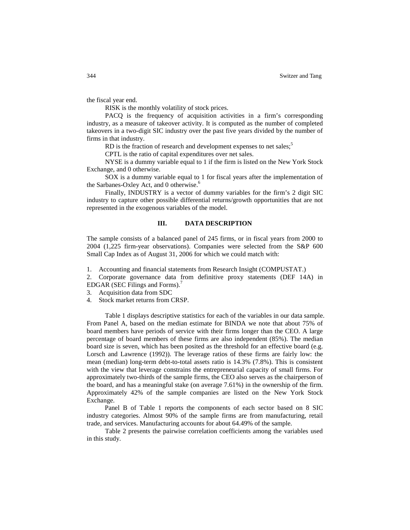the fiscal year end.

RISK is the monthly volatility of stock prices.

PACQ is the frequency of acquisition activities in a firm's corresponding industry, as a measure of takeover activity. It is computed as the number of completed takeovers in a two-digit SIC industry over the past five years divided by the number of firms in that industry.

RD is the fraction of research and development expenses to net sales; $5$ 

CPTL is the ratio of capital expenditures over net sales.

NYSE is a dummy variable equal to 1 if the firm is listed on the New York Stock Exchange, and 0 otherwise.

SOX is a dummy variable equal to 1 for fiscal years after the implementation of the Sarbanes-Oxley Act, and 0 otherwise.<sup>6</sup>

Finally, INDUSTRY is a vector of dummy variables for the firm's 2 digit SIC industry to capture other possible differential returns/growth opportunities that are not represented in the exogenous variables of the model.

#### **III. DATA DESCRIPTION**

The sample consists of a balanced panel of 245 firms, or in fiscal years from 2000 to 2004 (1,225 firm-year observations). Companies were selected from the S&P 600 Small Cap Index as of August 31, 2006 for which we could match with:

1. Accounting and financial statements from Research Insight (COMPUSTAT.)

2. Corporate governance data from definitive proxy statements (DEF 14A) in EDGAR (SEC Filings and Forms).<sup>7</sup>

- 3. Acquisition data from SDC
- 4. Stock market returns from CRSP.

Table 1 displays descriptive statistics for each of the variables in our data sample. From Panel A, based on the median estimate for BINDA we note that about 75% of board members have periods of service with their firms longer than the CEO. A large percentage of board members of these firms are also independent (85%). The median board size is seven, which has been posited as the threshold for an effective board (e.g. Lorsch and Lawrence (1992)). The leverage ratios of these firms are fairly low: the mean (median) long-term debt-to-total assets ratio is 14.3% (7.8%). This is consistent with the view that leverage constrains the entrepreneurial capacity of small firms. For approximately two-thirds of the sample firms, the CEO also serves as the chairperson of the board, and has a meaningful stake (on average 7.61%) in the ownership of the firm. Approximately 42% of the sample companies are listed on the New York Stock Exchange.

Panel B of Table 1 reports the components of each sector based on 8 SIC industry categories. Almost 90% of the sample firms are from manufacturing, retail trade, and services. Manufacturing accounts for about 64.49% of the sample.

Table 2 presents the pairwise correlation coefficients among the variables used in this study.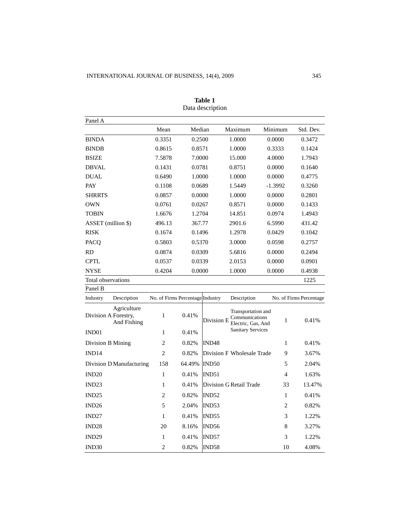| Panel A              |                            |                                  |        |                   |                                                            |         |                |                         |
|----------------------|----------------------------|----------------------------------|--------|-------------------|------------------------------------------------------------|---------|----------------|-------------------------|
|                      |                            | Mean                             | Median |                   | Maximum                                                    | Minimum |                | Std. Dev.               |
| <b>BINDA</b>         |                            | 0.3351                           | 0.2500 |                   | 1.0000                                                     | 0.0000  |                | 0.3472                  |
| <b>BINDB</b>         |                            | 0.8615                           | 0.8571 |                   | 1.0000                                                     | 0.3333  |                | 0.1424                  |
| <b>BSIZE</b>         |                            | 7.5878                           | 7.0000 |                   | 15.000                                                     | 4.0000  |                | 1.7943                  |
| <b>DBVAL</b>         |                            | 0.1431                           | 0.0781 |                   | 0.8751                                                     | 0.0000  |                | 0.1640                  |
| <b>DUAL</b>          |                            | 0.6490                           | 1.0000 |                   | 1.0000                                                     | 0.0000  |                | 0.4775                  |
| PAY                  |                            | 0.1108                           | 0.0689 |                   | 1.5449                                                     | -1.3992 |                | 0.3260                  |
| <b>SHRRTS</b>        |                            | 0.0857                           | 0.0000 |                   | 1.0000                                                     | 0.0000  |                | 0.2801                  |
| <b>OWN</b>           |                            | 0.0761                           | 0.0267 |                   | 0.8571                                                     | 0.0000  |                | 0.1433                  |
| TOBIN                |                            | 1.6676                           | 1.2704 |                   | 14.851                                                     | 0.0974  |                | 1.4943                  |
| ASSET (million \$)   |                            | 496.13                           | 367.77 |                   | 2901.6                                                     | 6.5990  |                | 431.42                  |
| <b>RISK</b>          |                            | 0.1674                           | 0.1496 |                   | 1.2978                                                     | 0.0429  |                | 0.1042                  |
| PACQ                 |                            | 0.5803                           | 0.5370 |                   | 3.0000                                                     | 0.0598  |                | 0.2757                  |
| RD                   |                            | 0.0874                           | 0.0309 |                   | 5.6816                                                     | 0.0000  |                | 0.2494                  |
| <b>CPTL</b>          |                            | 0.0537                           | 0.0339 |                   | 2.0153                                                     | 0.0000  |                | 0.0901                  |
| <b>NYSE</b>          |                            | 0.4204                           | 0.0000 |                   | 1.0000                                                     | 0.0000  |                | 0.4938                  |
| Total observations   |                            |                                  |        |                   |                                                            |         |                | 1225                    |
| Panel B              |                            |                                  |        |                   |                                                            |         |                |                         |
| Industry             | Description                | No. of Firms Percentage Industry |        |                   | Description                                                |         |                | No. of Firms Percentage |
| Division A Forestry, | Agriculture<br>And Fishing | 1                                | 0.41%  | Division E        | Transportation and<br>Communications<br>Electric, Gas, And |         | 1              | 0.41%                   |
| IND01                |                            | 1                                | 0.41%  |                   | <b>Sanitary Services</b>                                   |         |                |                         |
| Division B Mining    |                            | 2                                | 0.82%  | IND <sub>48</sub> |                                                            |         | 1              | 0.41%                   |
| IND <sub>14</sub>    |                            | $\mathfrak{D}$                   | 0.82%  |                   | Division F Wholesale Trade                                 |         | 9              | 3.67%                   |
|                      | Division D Manufacturing   | 158                              | 64.49% | IND50             |                                                            |         | 5              | 2.04%                   |
| IND <sub>20</sub>    |                            | $\mathbf{1}$                     | 0.41%  | IND51             |                                                            |         | $\overline{4}$ | 1.63%                   |
| IND <sub>23</sub>    |                            | 1                                | 0.41%  |                   | Division G Retail Trade                                    |         | 33             | 13.47%                  |
| IND <sub>25</sub>    |                            | $\overline{2}$                   | 0.82%  | IND52             |                                                            |         | $\mathbf{1}$   | 0.41%                   |
| IND26                |                            | 5                                | 2.04%  | IND53             |                                                            |         | 2              | 0.82%                   |
| IND <sub>27</sub>    |                            | 1                                | 0.41%  | IND55             |                                                            |         | 3              | 1.22%                   |
| IND <sub>28</sub>    |                            | 20                               | 8.16%  | IND <sub>56</sub> |                                                            |         | 8              | 3.27%                   |
| IND <sub>29</sub>    |                            | $\mathbf{1}$                     | 0.41%  | IND57             |                                                            |         | 3              | 1.22%                   |
| IND <sub>30</sub>    |                            | $\overline{2}$                   | 0.82%  | IND58             |                                                            |         | 10             | 4.08%                   |

| Table 1          |
|------------------|
| Data description |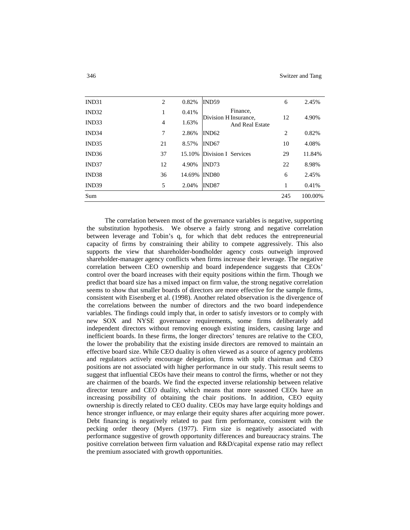| Sum               |                |        |                                   | 245 | 100.00% |
|-------------------|----------------|--------|-----------------------------------|-----|---------|
| IND39             | 5              | 2.04%  | IND87                             |     | 0.41%   |
| IND <sub>38</sub> | 36             | 14.69% | IND <sub>80</sub>                 | 6   | 2.45%   |
| IND37             | 12             | 4.90%  | IND73                             | 22  | 8.98%   |
| IND <sub>36</sub> | 37             | 15.10% | Division I Services               | 29  | 11.84%  |
| IND35             | 21             | 8.57%  | IND <sub>67</sub>                 | 10  | 4.08%   |
| IND <sub>34</sub> | 7              | 2.86%  | IND62                             | 2   | 0.82%   |
| IND <sub>33</sub> | $\overline{4}$ | 1.63%  | And Real Estate                   |     |         |
| IND <sub>32</sub> | 1              | 0.41%  | Finance,<br>Division H Insurance, | 12  | 4.90%   |
| IND31             | $\overline{2}$ | 0.82%  | IND59                             | 6   | 2.45%   |

The correlation between most of the governance variables is negative, supporting the substitution hypothesis. We observe a fairly strong and negative correlation between leverage and Tobin's q, for which that debt reduces the entrepreneurial capacity of firms by constraining their ability to compete aggressively. This also supports the view that shareholder-bondholder agency costs outweigh improved shareholder-manager agency conflicts when firms increase their leverage. The negative correlation between CEO ownership and board independence suggests that CEOs' control over the board increases with their equity positions within the firm. Though we predict that board size has a mixed impact on firm value, the strong negative correlation seems to show that smaller boards of directors are more effective for the sample firms, consistent with Eisenberg et al. (1998). Another related observation is the divergence of the correlations between the number of directors and the two board independence variables. The findings could imply that, in order to satisfy investors or to comply with new SOX and NYSE governance requirements, some firms deliberately add independent directors without removing enough existing insiders, causing large and inefficient boards. In these firms, the longer directors' tenures are relative to the CEO, the lower the probability that the existing inside directors are removed to maintain an effective board size. While CEO duality is often viewed as a source of agency problems and regulators actively encourage delegation, firms with split chairman and CEO positions are not associated with higher performance in our study. This result seems to suggest that influential CEOs have their means to control the firms, whether or not they are chairmen of the boards. We find the expected inverse relationship between relative director tenure and CEO duality, which means that more seasoned CEOs have an increasing possibility of obtaining the chair positions. In addition, CEO equity ownership is directly related to CEO duality. CEOs may have large equity holdings and hence stronger influence, or may enlarge their equity shares after acquiring more power. Debt financing is negatively related to past firm performance, consistent with the pecking order theory (Myers (1977). Firm size is negatively associated with performance suggestive of growth opportunity differences and bureaucracy strains. The positive correlation between firm valuation and R&D/capital expense ratio may reflect the premium associated with growth opportunities.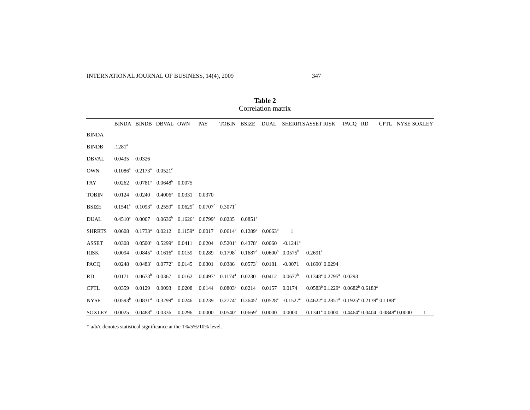|               |                    |                                  | BINDA BINDB DBVAL OWN                                             |                   | PAY                                                         | <b>TOBIN</b>            | BSIZE                                               | DUAL          |                                              | SHERRTS ASSET RISK                                                                          | PACO RD |  | CPTL NYSE SOXLEY |  |
|---------------|--------------------|----------------------------------|-------------------------------------------------------------------|-------------------|-------------------------------------------------------------|-------------------------|-----------------------------------------------------|---------------|----------------------------------------------|---------------------------------------------------------------------------------------------|---------|--|------------------|--|
| <b>BINDA</b>  |                    |                                  |                                                                   |                   |                                                             |                         |                                                     |               |                                              |                                                                                             |         |  |                  |  |
| <b>BINDB</b>  | .1281 <sup>a</sup> |                                  |                                                                   |                   |                                                             |                         |                                                     |               |                                              |                                                                                             |         |  |                  |  |
| <b>DBVAL</b>  | 0.0435             | 0.0326                           |                                                                   |                   |                                                             |                         |                                                     |               |                                              |                                                                                             |         |  |                  |  |
| <b>OWN</b>    |                    | $0.1086^a$ $0.2173^a$ $0.0521^c$ |                                                                   |                   |                                                             |                         |                                                     |               |                                              |                                                                                             |         |  |                  |  |
| PAY           | 0.0262             |                                  | $0.0781^a$ $0.0648^b$ $0.0075$                                    |                   |                                                             |                         |                                                     |               |                                              |                                                                                             |         |  |                  |  |
| <b>TOBIN</b>  | 0.0124             | 0.0240                           | $0.4006^a$ 0.0331                                                 |                   | 0.0370                                                      |                         |                                                     |               |                                              |                                                                                             |         |  |                  |  |
| <b>BSIZE</b>  |                    |                                  | $0.1541^a$ $0.1093^a$ $0.2559^a$ $0.0629^b$ $0.0707^b$ $0.3071^a$ |                   |                                                             |                         |                                                     |               |                                              |                                                                                             |         |  |                  |  |
| <b>DUAL</b>   | $0.4510^{\rm a}$   | 0.0007                           |                                                                   |                   | $0.0636^b$ $0.1626^a$ $0.0799^a$ $0.0235$ $0.0851^a$        |                         |                                                     |               |                                              |                                                                                             |         |  |                  |  |
| <b>SHRRTS</b> | 0.0608             | $0.1733^a$ $0.0212$              |                                                                   | $0.1159^a$ 0.0017 |                                                             |                         | $0.0614^b$ $0.1289^a$ $0.0663^b$                    |               | $\overline{1}$                               |                                                                                             |         |  |                  |  |
| <b>ASSET</b>  | 0.0308             |                                  | $0.0500^{\circ}$ $0.5299^{\circ}$ $0.0411$                        |                   | 0.0204                                                      |                         | $0.5201^a$ $0.4378^a$ $0.0060$                      |               | $-0.1241$ <sup>a</sup>                       |                                                                                             |         |  |                  |  |
| <b>RISK</b>   | 0.0094             |                                  | $0.0845^a$ $0.1616^a$ $0.0159$                                    |                   | 0.0289                                                      |                         | $0.1798^a$ $0.1687^a$ $0.0600^b$ $0.0575^b$         |               |                                              | $0.2691^{\rm a}$                                                                            |         |  |                  |  |
| PACQ          | 0.0248             |                                  | $0.0483^{\circ}$ $0.0772^{\circ}$ $0.0145$                        |                   | 0.0301                                                      |                         | $0.0386$ $0.0573^b$ $0.0181$                        |               | $-0.0071$                                    | $0.1690^{\circ} 0.0294$                                                                     |         |  |                  |  |
| <b>RD</b>     | 0.0171             |                                  | $0.0673^b$ 0.0367                                                 |                   | $0.0162$ $0.0497^c$ $0.1174^a$ $0.0230$ $0.0412$ $0.0677^b$ |                         |                                                     |               |                                              | $0.1348^{\text{a}} 0.2795^{\text{a}} 0.0293$                                                |         |  |                  |  |
| <b>CPTL</b>   | 0.0359             | 0.0129                           | 0.0093                                                            | 0.0208            | 0.0144                                                      | $0.0803^{\circ}$ 0.0214 |                                                     | 0.0157 0.0174 |                                              | $0.0583^{b}$ 0.1229 <sup>a</sup> 0.0682 <sup>b</sup> 0.6183 <sup>a</sup>                    |         |  |                  |  |
| <b>NYSE</b>   |                    | $0.0593^b$ $0.0831^a$ $0.3299^a$ |                                                                   | 0.0246            | 0.0239                                                      |                         |                                                     |               | $0.2774^a$ $0.3645^a$ $0.0528^c$ $-0.1527^a$ | $0.4622^{\text{a}} 0.2851^{\text{a}} 0.1925^{\text{a}} 0.2139^{\text{a}} 0.1188^{\text{a}}$ |         |  |                  |  |
| <b>SOXLEY</b> | 0.0025             | $0.0488^{\circ}$ 0.0336          |                                                                   | 0.0296            | 0.0000                                                      |                         | $0.0540^{\circ}$ $0.0669^{\circ}$ $0.0000$ $0.0000$ |               |                                              | $0.1341^{\circ}0.0000$ $0.4464^{\circ}0.0404$ $0.0848^{\circ}0.0000$                        |         |  |                  |  |

**Table 2** Correlation matrix

\* a/b/c denotes statistical significance at the 1%/5%/10% level.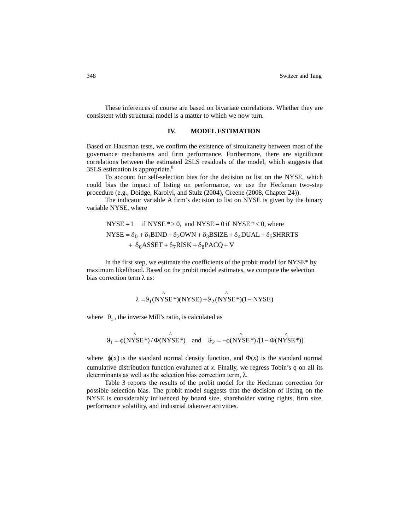These inferences of course are based on bivariate correlations. Whether they are consistent with structural model is a matter to which we now turn.

#### **IV. MODEL ESTIMATION**

Based on Hausman tests, we confirm the existence of simultaneity between most of the governance mechanisms and firm performance. Furthermore, there are significant correlations between the estimated 2SLS residuals of the model, which suggests that 3SLS estimation is appropriate.<sup>8</sup>

To account for self-selection bias for the decision to list on the NYSE, which could bias the impact of listing on performance, we use the Heckman two-step procedure (e.g., Doidge, Karolyi, and Stulz (2004), Greene (2008, Chapter 24)).

The indicator variable A firm's decision to list on NYSE is given by the binary variable NYSE, where

NYSE = 1 if NYSE \* > 0, and NYSE = 0 if NYSE \* < 0, where  
\nNYSE = 
$$
\delta_0 + \delta_1 BIND + \delta_2 OWN + \delta_3 BSIZE + \delta_4 DUAL + \delta_5 SHRRTS
$$
  
\n $+ \delta_6 ASSET + \delta_7 RISK + \delta_8 PACQ + V$ 

In the first step, we estimate the coefficients of the probit model for NYSE\* by maximum likelihood. Based on the probit model estimates, we compute the selection bias correction term  $\lambda$  as:

$$
\hat{\lambda} = \theta_1 (NYSE^*)(NYSE) + \theta_2 (NYSE^*)(1 - NYSE)
$$

where  $\theta_1$ , the inverse Mill's ratio, is calculated as

$$
\vartheta_1 = \phi(N\hat{Y}SE^*) / \Phi(N\hat{Y}SE^*) \quad \text{and} \quad \vartheta_2 = -\phi(N\hat{Y}SE^*) / [1 - \Phi(N\hat{Y}SE^*)]
$$

where  $\phi(x)$  is the standard normal density function, and  $\Phi(x)$  is the standard normal cumulative distribution function evaluated at *x*. Finally, we regress Tobin's q on all its determinants as well as the selection bias correction term, λ.

Table 3 reports the results of the probit model for the Heckman correction for possible selection bias. The probit model suggests that the decision of listing on the NYSE is considerably influenced by board size, shareholder voting rights, firm size, performance volatility, and industrial takeover activities.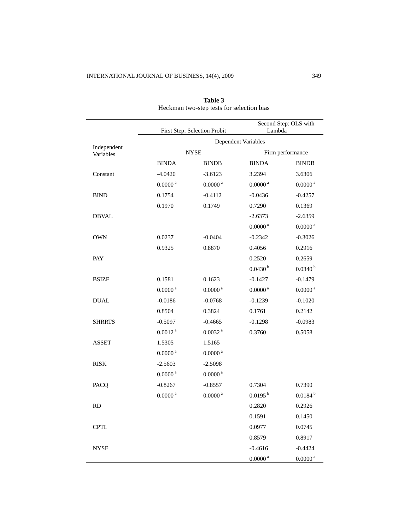|               |                     | First Step: Selection Probit | Lambda              | Second Step: OLS with |  |  |  |  |
|---------------|---------------------|------------------------------|---------------------|-----------------------|--|--|--|--|
| Independent   | Dependent Variables |                              |                     |                       |  |  |  |  |
| Variables     |                     | <b>NYSE</b>                  |                     | Firm performance      |  |  |  |  |
|               | <b>BINDA</b>        | <b>BINDB</b>                 | <b>BINDA</b>        | <b>BINDB</b>          |  |  |  |  |
| Constant      | $-4.0420$           | $-3.6123$                    | 3.2394              | 3.6306                |  |  |  |  |
|               | 0.0000 <sup>a</sup> | 0.0000 <sup>a</sup>          | 0.0000 <sup>a</sup> | $0.0000$ $^{\rm a}$   |  |  |  |  |
| <b>BIND</b>   | 0.1754              | $-0.4112$                    | $-0.0436$           | $-0.4257$             |  |  |  |  |
|               | 0.1970              | 0.1749                       | 0.7290              | 0.1369                |  |  |  |  |
| <b>DBVAL</b>  |                     |                              | $-2.6373$           | $-2.6359$             |  |  |  |  |
|               |                     |                              | 0.0000 <sup>a</sup> | $0.0000$ $^{\rm a}$   |  |  |  |  |
| <b>OWN</b>    | 0.0237              | $-0.0404$                    | $-0.2342$           | $-0.3026$             |  |  |  |  |
|               | 0.9325              | 0.8870                       | 0.4056              | 0.2916                |  |  |  |  |
| PAY           |                     |                              | 0.2520              | 0.2659                |  |  |  |  |
|               |                     |                              | 0.0430 <sup>b</sup> | $0.0340^{b}$          |  |  |  |  |
| <b>BSIZE</b>  | 0.1581              | 0.1623                       | $-0.1427$           | $-0.1479$             |  |  |  |  |
|               | 0.0000 <sup>a</sup> | 0.0000 <sup>a</sup>          | $0.0000$ $^{\rm a}$ | $0.0000$ $^{\rm a}$   |  |  |  |  |
| <b>DUAL</b>   | $-0.0186$           | $-0.0768$                    | $-0.1239$           | $-0.1020$             |  |  |  |  |
|               | 0.8504              | 0.3824                       | 0.1761              | 0.2142                |  |  |  |  |
| <b>SHRRTS</b> | $-0.5097$           | $-0.4665$                    | $-0.1298$           | $-0.0983$             |  |  |  |  |
|               | 0.0012 <sup>a</sup> | $0.0032$ $^{\rm a}$          | 0.3760              | 0.5058                |  |  |  |  |
| <b>ASSET</b>  | 1.5305              | 1.5165                       |                     |                       |  |  |  |  |
|               | 0.0000 <sup>a</sup> | 0.0000 <sup>a</sup>          |                     |                       |  |  |  |  |
| <b>RISK</b>   | $-2.5603$           | $-2.5098$                    |                     |                       |  |  |  |  |
|               | $0.0000$ $^{\rm a}$ | $0.0000$ $^{\rm a}$          |                     |                       |  |  |  |  |
| PACQ          | $-0.8267$           | $-0.8557$                    | 0.7304              | 0.7390                |  |  |  |  |
|               | 0.0000 <sup>a</sup> | 0.0000 <sup>a</sup>          | $0.0195^{b}$        | $0.0184^{b}$          |  |  |  |  |
| <b>RD</b>     |                     |                              | 0.2820              | 0.2926                |  |  |  |  |
|               |                     |                              | 0.1591              | 0.1450                |  |  |  |  |
| <b>CPTL</b>   |                     |                              | 0.0977              | 0.0745                |  |  |  |  |
|               |                     |                              | 0.8579              | 0.8917                |  |  |  |  |
| <b>NYSE</b>   |                     |                              | $-0.4616$           | $-0.4424$             |  |  |  |  |
|               |                     |                              | $0.0000^{\,\rm a}$  | $0.0000^{\,\rm a}$    |  |  |  |  |

**Table 3** Heckman two-step tests for selection bias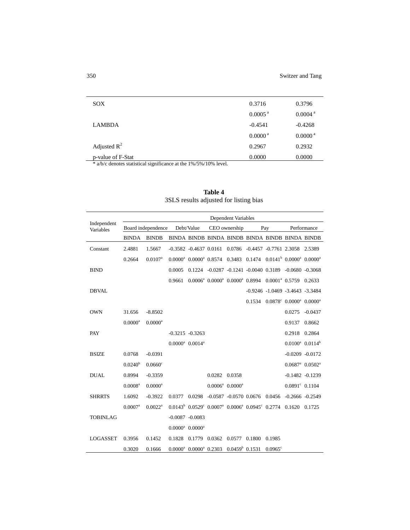| <b>SOX</b>        | 0.3716                | 0.3796              |
|-------------------|-----------------------|---------------------|
|                   | $0.0005$ <sup>a</sup> | 0.0004 <sup>a</sup> |
| <b>LAMBDA</b>     | $-0.4541$             | $-0.4268$           |
|                   | 0.0000 <sup>a</sup>   | 0.0000 <sup>a</sup> |
| Adjusted $R^2$    | 0.2967                | 0.2932              |
| p-value of F-Stat | 0.0000                | 0.0000              |
|                   |                       |                     |

\* a/b/c denotes statistical significance at the 1%/5%/10% level.

|                          | Dependent Variables   |                       |        |                                |                                                                                   |                       |                                  |                  |                                                                            |                       |
|--------------------------|-----------------------|-----------------------|--------|--------------------------------|-----------------------------------------------------------------------------------|-----------------------|----------------------------------|------------------|----------------------------------------------------------------------------|-----------------------|
| Independent<br>Variables |                       | Board independence    |        | Debt/Value                     |                                                                                   | CEO ownership         |                                  | Pay              |                                                                            | Performance           |
|                          | <b>BINDA</b>          | <b>BINDB</b>          |        |                                | BINDA BINDB BINDA BINDB BINDA BINDB BINDA BINDB                                   |                       |                                  |                  |                                                                            |                       |
| Constant                 | 2.4881                | 1.5667                |        | $-0.3582$ $-0.4637$ $0.0161$   |                                                                                   |                       |                                  |                  | 0.0786 -0.4457 -0.7761 2.3058 2.5389                                       |                       |
|                          | 0.2664                | $0.0107$ <sup>a</sup> |        |                                | $0.0000^a$ $0.0000^a$ $0.8574$ $0.3483$ $0.1474$ $0.0141^b$ $0.0000^a$ $0.0000^a$ |                       |                                  |                  |                                                                            |                       |
| <b>BIND</b>              |                       |                       | 0.0005 |                                | 0.1224 -0.0287 -0.1241 -0.0040 0.3189 -0.0680 -0.3068                             |                       |                                  |                  |                                                                            |                       |
|                          |                       |                       | 0.9661 |                                | $0.0006^a$ $0.0000^a$ $0.0000^a$ $0.8994$ $0.0001^a$ $0.5759$ $0.2633$            |                       |                                  |                  |                                                                            |                       |
| <b>DBVAL</b>             |                       |                       |        |                                |                                                                                   |                       |                                  |                  | $-0.9246 - 1.0469 - 3.4643 - 3.3484$                                       |                       |
|                          |                       |                       |        |                                |                                                                                   |                       |                                  |                  | $0.1534$ $0.0878$ <sup>c</sup> $0.0000$ <sup>a</sup> $0.0000$ <sup>a</sup> |                       |
| <b>OWN</b>               | 31.656                | $-8.8502$             |        |                                |                                                                                   |                       |                                  |                  | 0.0275                                                                     | $-0.0437$             |
|                          | $0.0000$ <sup>a</sup> | $0.0000$ <sup>a</sup> |        |                                |                                                                                   |                       |                                  |                  | 0.9137                                                                     | 0.8662                |
| PAY                      |                       |                       |        | $-0.3215 - 0.3263$             |                                                                                   |                       |                                  |                  | 0.2918 0.2864                                                              |                       |
|                          |                       |                       |        | $0.0000^a$ $0.0014^a$          |                                                                                   |                       |                                  |                  | $0.0100^a$ $0.0114^b$                                                      |                       |
| <b>BSIZE</b>             | 0.0768                | $-0.0391$             |        |                                |                                                                                   |                       |                                  |                  |                                                                            | $-0.0209 - 0.0172$    |
|                          | 0.0240 <sup>b</sup>   | $0.0660^{\circ}$      |        |                                |                                                                                   |                       |                                  |                  |                                                                            | $0.0687^a$ $0.0502^a$ |
| <b>DUAL</b>              | 0.8994                | $-0.3359$             |        |                                | 0.0282 0.0358                                                                     |                       |                                  |                  |                                                                            | $-0.1482 - 0.1239$    |
|                          | $0.0008$ <sup>a</sup> | $0.0000$ <sup>a</sup> |        |                                |                                                                                   | $0.0006^a$ $0.0000^a$ |                                  |                  | $0.0891^{\circ}$ 0.1104                                                    |                       |
| <b>SHRRTS</b>            | 1.6092                | $-0.3922$             | 0.0377 | 0.0298                         |                                                                                   |                       | $-0.0587 - 0.0570$ 0.0676 0.0456 |                  | $-0.2666 - 0.2549$                                                         |                       |
|                          | $0.0007$ <sup>a</sup> | $0.0022^{\rm a}$      |        |                                | $0.0143^b$ $0.0529^c$ $0.0007^a$ $0.0006^a$ $0.0945^c$ $0.2774$ $0.1620$ $0.1725$ |                       |                                  |                  |                                                                            |                       |
| <b>TOBINLAG</b>          |                       |                       |        | $-0.0087 - 0.0083$             |                                                                                   |                       |                                  |                  |                                                                            |                       |
|                          |                       |                       |        | $0.0000^a$ $0.0000^a$          |                                                                                   |                       |                                  |                  |                                                                            |                       |
| <b>LOGASSET</b>          | 0.3956                | 0.1452                | 0.1828 | 0.1779 0.0362                  |                                                                                   | 0.0577 0.1800         |                                  | 0.1985           |                                                                            |                       |
|                          | 0.3020                | 0.1666                |        | $0.0000^a$ $0.0000^a$ $0.2303$ |                                                                                   | $0.0459^b$ 0.1531     |                                  | $0.0965^{\circ}$ |                                                                            |                       |

**Table 4** 3SLS results adjusted for listing bias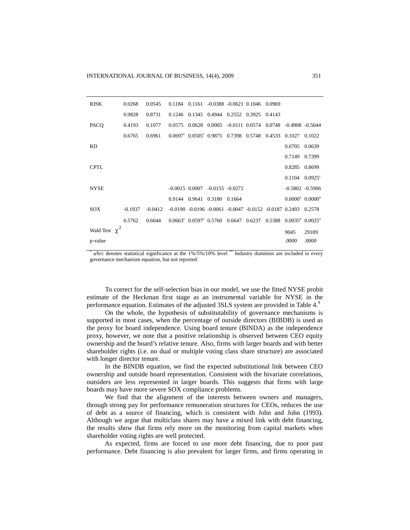| <b>RISK</b>        | 0.0268    | 0.0545    |        |                                          | 0.1184  0.1161  -0.0388  -0.0621  0.1046  0.0969 |                      |                                                                                                         |        |
|--------------------|-----------|-----------|--------|------------------------------------------|--------------------------------------------------|----------------------|---------------------------------------------------------------------------------------------------------|--------|
|                    | 0.9828    | 0.8731    | 0.1246 |                                          | 0.1345 0.4944                                    | 0.2552 0.3925 0.4143 |                                                                                                         |        |
| PACO               | 0.4193    | 0.1077    | 0.0575 |                                          | 0.0628 0.0005 -0.0111 0.0574 0.0748              |                      | $-0.4908$ $-0.5044$                                                                                     |        |
|                    | 0.6765    | 0.6961    |        | $0.0697^{\circ}$ $0.0505^{\circ}$ 0.9875 |                                                  | 0.7398 0.5748 0.4533 | 0.1027                                                                                                  | 0.1022 |
| <b>RD</b>          |           |           |        |                                          |                                                  |                      | 0.0705                                                                                                  | 0.0639 |
|                    |           |           |        |                                          |                                                  |                      | 0.7149 0.7399                                                                                           |        |
| <b>CPTL</b>        |           |           |        |                                          |                                                  |                      | 0.8285                                                                                                  | 0.8699 |
|                    |           |           |        |                                          |                                                  |                      | $0.1104$ $0.0925$ <sup>c</sup>                                                                          |        |
| <b>NYSE</b>        |           |           |        |                                          | $-0.0015$ 0.0007 $-0.0155$ $-0.0272$             |                      | $-0.5802 - 0.5906$                                                                                      |        |
|                    |           |           |        |                                          | 0.9144 0.9641 0.3180 0.1664                      |                      | $0.0000^a$ $0.0000^a$                                                                                   |        |
| SOX                | $-0.1937$ | $-0.0412$ |        |                                          |                                                  |                      | $-0.0190 - 0.0196 - 0.0061 - 0.0047 - 0.0152 - 0.0187 0.2493 0.2578$                                    |        |
|                    | 0.5762    | 0.6644    |        |                                          |                                                  |                      | $0.0663^{\circ}$ $0.0597^{\circ}$ $0.5760$ $0.6647$ $0.6237$ $0.5388$ $0.0035^{\circ}$ $0.0025^{\circ}$ |        |
| Wald Test $\chi^2$ |           |           |        |                                          |                                                  |                      | 9045                                                                                                    | 29189  |
| p-value            |           |           |        |                                          |                                                  |                      | .0000                                                                                                   | .0000  |

\*  $a/b/c$  denotes statistical significance at the  $1\%/5\%/10\%$  level <sup>\*\*</sup> Industry dummies are included in every governance mechanism equation, but not reported.

To correct for the self-selection bias in our model, we use the fitted NYSE probit estimate of the Heckman first stage as an instrumental variable for NYSE in the performance equation. Estimates of the adjusted 3SLS system are provided in Table 4.<sup>9</sup>

On the whole, the hypothesis of substitutability of governance mechanisms is supported in most cases, when the percentage of outside directors (BIBDB) is used as the proxy for board independence. Using board tenure (BINDA) as the independence proxy, however, we note that a positive relationship is observed between CEO equity ownership and the board's relative tenure. Also, firms with larger boards and with better shareholder rights (i.e. no dual or multiple voting class share structure) are associated with longer director tenure.

In the BINDB equation, we find the expected substitutional link between CEO ownership and outside board representation. Consistent with the bivariate correlations, outsiders are less represented in larger boards. This suggests that firms with large boards may have more severe SOX compliance problems.

We find that the alignment of the interests between owners and managers, through strong pay for performance remuneration structures for CEOs, reduces the use of debt as a source of financing, which is consistent with John and John (1993). Although we argue that multiclass shares may have a mixed link with debt financing, the results show that firms rely more on the monitoring from capital markets when shareholder voting rights are well protected.

As expected, firms are forced to use more debt financing, due to poor past performance. Debt financing is also prevalent for larger firms, and firms operating in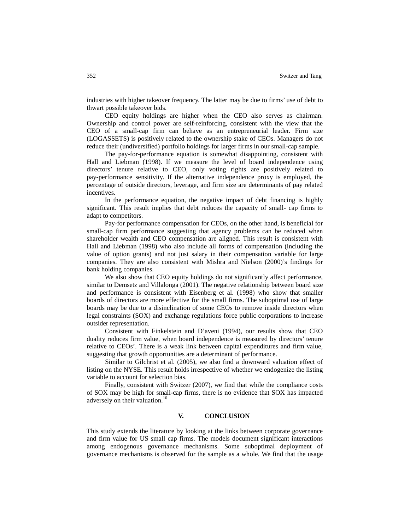industries with higher takeover frequency. The latter may be due to firms' use of debt to thwart possible takeover bids.

CEO equity holdings are higher when the CEO also serves as chairman. Ownership and control power are self-reinforcing, consistent with the view that the CEO of a small-cap firm can behave as an entrepreneurial leader. Firm size (LOGASSETS) is positively related to the ownership stake of CEOs. Managers do not reduce their (undiversified) portfolio holdings for larger firms in our small-cap sample.

The pay-for-performance equation is somewhat disappointing, consistent with Hall and Liebman (1998). If we measure the level of board independence using directors' tenure relative to CEO, only voting rights are positively related to pay-performance sensitivity. If the alternative independence proxy is employed, the percentage of outside directors, leverage, and firm size are determinants of pay related incentives.

In the performance equation, the negative impact of debt financing is highly significant. This result implies that debt reduces the capacity of small- cap firms to adapt to competitors.

Pay-for performance compensation for CEOs, on the other hand, is beneficial for small-cap firm performance suggesting that agency problems can be reduced when shareholder wealth and CEO compensation are aligned. This result is consistent with Hall and Liebman (1998) who also include all forms of compensation (including the value of option grants) and not just salary in their compensation variable for large companies. They are also consistent with Mishra and Nielson (2000)'s findings for bank holding companies.

We also show that CEO equity holdings do not significantly affect performance, similar to Demsetz and Villalonga (2001). The negative relationship between board size and performance is consistent with Eisenberg et al. (1998) who show that smaller boards of directors are more effective for the small firms. The suboptimal use of large boards may be due to a disinclination of some CEOs to remove inside directors when legal constraints (SOX) and exchange regulations force public corporations to increase outsider representation.

Consistent with Finkelstein and D'aveni (1994), our results show that CEO duality reduces firm value, when board independence is measured by directors' tenure relative to CEOs'. There is a weak link between capital expenditures and firm value, suggesting that growth opportunities are a determinant of performance.

Similar to Gilchrist et al. (2005), we also find a downward valuation effect of listing on the NYSE. This result holds irrespective of whether we endogenize the listing variable to account for selection bias.

Finally, consistent with Switzer (2007), we find that while the compliance costs of SOX may be high for small-cap firms, there is no evidence that SOX has impacted adversely on their valuation.<sup>10</sup>

### **V. CONCLUSION**

This study extends the literature by looking at the links between corporate governance and firm value for US small cap firms. The models document significant interactions among endogenous governance mechanisms. Some suboptimal deployment of governance mechanisms is observed for the sample as a whole. We find that the usage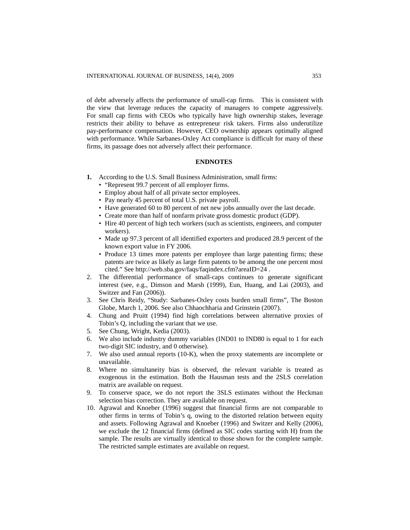of debt adversely affects the performance of small-cap firms. This is consistent with the view that leverage reduces the capacity of managers to compete aggressively. For small cap firms with CEOs who typically have high ownership stakes, leverage restricts their ability to behave as entrepreneur risk takers. Firms also underutilize pay-performance compensation. However, CEO ownership appears optimally aligned with performance. While Sarbanes-Oxley Act compliance is difficult for many of these firms, its passage does not adversely affect their performance.

# **ENDNOTES**

- **1.** According to the U.S. Small Business Administration, small firms:
	- "Represent 99.7 percent of all employer firms.
	- Employ about half of all private sector employees.
	- Pay nearly 45 percent of total U.S. private payroll.
	- Have generated 60 to 80 percent of net new jobs annually over the last decade.
	- Create more than half of nonfarm private gross domestic product (GDP).
	- Hire 40 percent of high tech workers (such as scientists, engineers, and computer workers).
	- Made up 97.3 percent of all identified exporters and produced 28.9 percent of the known export value in FY 2006.
	- Produce 13 times more patents per employee than large patenting firms; these patents are twice as likely as large firm patents to be among the one percent most cited." See <http://web.sba.gov/faqs/faqindex.cfm?areaID=24> .
- 2. The differential performance of small-caps continues to generate significant interest (see, e.g., Dimson and Marsh (1999), Eun, Huang, and Lai (2003), and Switzer and Fan (2006)).
- 3. See Chris Reidy, "Study: Sarbanes-Oxley costs burden small firms", The Boston Globe, March 1, 2006. See also Chhaochharia and Grinstein (2007).
- 4. Chung and Pruitt (1994) find high correlations between alternative proxies of Tobin's Q, including the variant that we use.
- 5. See Chung, Wright, Kedia (2003).
- 6. We also include industry dummy variables (IND01 to IND80 is equal to 1 for each two-digit SIC industry, and 0 otherwise).
- 7. We also used annual reports (10-K), when the proxy statements are incomplete or unavailable.
- 8. Where no simultaneity bias is observed, the relevant variable is treated as exogenous in the estimation. Both the Hausman tests and the 2SLS correlation matrix are available on request.
- 9. To conserve space, we do not report the 3SLS estimates without the Heckman selection bias correction. They are available on request.
- 10. Agrawal and Knoeber (1996) suggest that financial firms are not comparable to other firms in terms of Tobin's q, owing to the distorted relation between equity and assets. Following Agrawal and Knoeber (1996) and Switzer and Kelly (2006), we exclude the 12 financial firms (defined as SIC codes starting with H) from the sample. The results are virtually identical to those shown for the complete sample. The restricted sample estimates are available on request.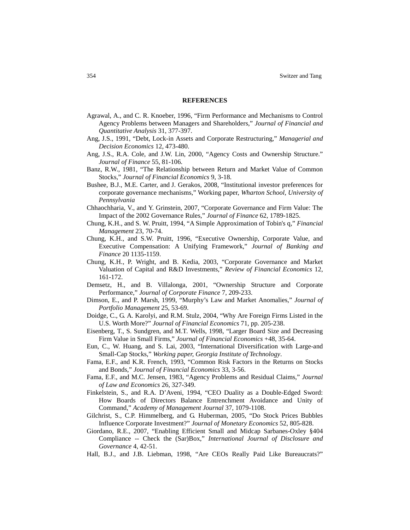#### **REFERENCES**

- Agrawal, A., and C. R. Knoeber, 1996, "Firm Performance and Mechanisms to Control Agency Problems between Managers and Shareholders," *Journal of Financial and Quantitative Analysis* 31, 377-397.
- Ang, J.S., 1991, "Debt, Lock-in Assets and Corporate Restructuring," *Managerial and Decision Economics* 12, 473-480.
- Ang, J.S., R.A. Cole, and J.W. Lin, 2000, "Agency Costs and Ownership Structure." *Journal of Finance* 55, 81-106.
- Banz, R.W., 1981, "The Relationship between Return and Market Value of Common Stocks," *Journal of Financial Economics* 9, 3-18.
- Bushee, B.J., M.E. Carter, and J. Gerakos, 2008, "Institutional investor preferences for corporate governance mechanisms," Working paper, *Wharton School, University of Pennsylvania*
- Chhaochharia, V., and Y. Grinstein, 2007, "Corporate Governance and Firm Value: The Impact of the 2002 Governance Rules," *Journal of Finance* 62, 1789-1825.
- Chung, K.H., and S. W. Pruitt, 1994, "A Simple Approximation of Tobin's q," *Financial Management* 23, 70-74.
- Chung, K.H., and S.W. Pruitt, 1996, "Executive Ownership, Corporate Value, and Executive Compensation: A Unifying Framework," *Journal of Banking and Finance* 20 1135-1159.
- Chung, K.H., P. Wright, and B. Kedia, 2003, "Corporate Governance and Market Valuation of Capital and R&D Investments," *Review of Financial Economics* 12, 161-172.
- Demsetz, H., and B. Villalonga, 2001, "Ownership Structure and Corporate Performance," *Journal of Corporate Finance* 7, 209-233.
- Dimson, E., and P. Marsh, 1999, "Murphy's Law and Market Anomalies," *Journal of Portfolio Management* 25, 53-69.
- Doidge, C., G. A. Karolyi, and R.M. Stulz, 2004, "Why Are Foreign Firms Listed in the U.S. Worth More?" *Journal of Financial Economics* 71, pp. 205-238.
- Eisenberg, T., S. Sundgren, and M.T. Wells, 1998, "Larger Board Size and Decreasing Firm Value in Small Firms," *Journal of Financial Economics* +48, 35-64.
- Eun, C., W. Huang, and S. Lai, 2003, "International Diversification with Large-and Small-Cap Stocks," *Working paper, Georgia Institute of Technology*.
- Fama, E.F., and K.R. French, 1993, "Common Risk Factors in the Returns on Stocks and Bonds," *Journal of Financial Economics* 33, 3-56.
- Fama, E.F., and M.C. Jensen, 1983, "Agency Problems and Residual Claims," *Journal of Law and Economics* 26, 327-349.
- Finkelstein, S., and R.A. D'Aveni, 1994, "CEO Duality as a Double-Edged Sword: How Boards of Directors Balance Entrenchment Avoidance and Unity of Command," *Academy of Management Journal* 37, 1079-1108.
- Gilchrist, S., C.P. Himmelberg, and G. Huberman, 2005, "Do Stock Prices Bubbles Influence Corporate Investment?" *Journal of Monetary Economics* 52, 805-828.
- Giordano, R.E., 2007, "Enabling Efficient Small and Midcap Sarbanes-Oxley §404 Compliance -- Check the (Sar)Box," *International Journal of Disclosure and Governance* 4, 42-51.
- Hall, B.J., and J.B. Liebman, 1998, "Are CEOs Really Paid Like Bureaucrats?"